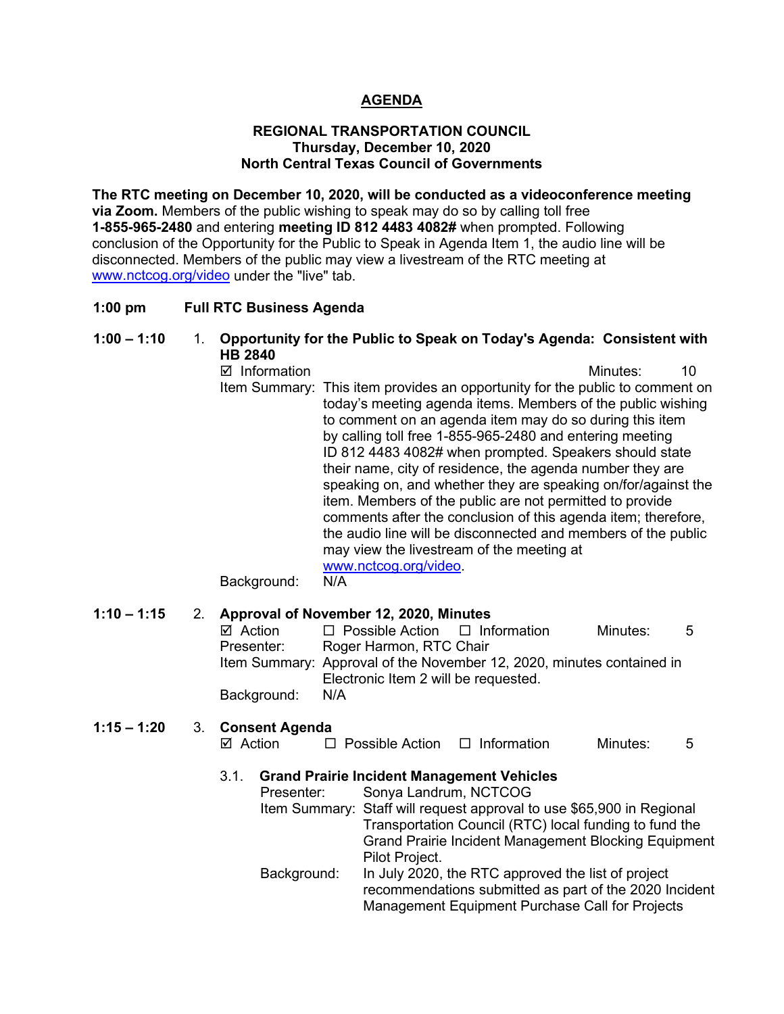# **AGENDA**

#### **REGIONAL TRANSPORTATION COUNCIL Thursday, December 10, 2020 North Central Texas Council of Governments**

**The RTC meeting on December 10, 2020, will be conducted as a videoconference meeting via Zoom.** Members of the public wishing to speak may do so by calling toll free **1-855-965-2480** and entering **meeting ID 812 4483 4082#** when prompted. Following conclusion of the Opportunity for the Public to Speak in Agenda Item 1, the audio line will be disconnected. Members of the public may view a livestream of the RTC meeting at [www.nctcog.org/video](http://www.nctcog.org/video) under the "live" tab.

#### **1:00 pm Full RTC Business Agenda**

# **1:00 – 1:10** 1. **Opportunity for the Public to Speak on Today's Agenda: Consistent with HB 2840**

■ Information and The Contract of Minutes: 10 Item Summary: This item provides an opportunity for the public to comment on today's meeting agenda items. Members of the public wishing to comment on an agenda item may do so during this item by calling toll free 1-855-965-2480 and entering meeting ID 812 4483 4082# when prompted. Speakers should state their name, city of residence, the agenda number they are speaking on, and whether they are speaking on/for/against the item. Members of the public are not permitted to provide comments after the conclusion of this agenda item; therefore, the audio line will be disconnected and members of the public may view the livestream of the meeting at [www.nctcog.org/video.](http://www.nctcog.org/video)

#### Background: N/A

## **1:10 – 1:15** 2. **Approval of November 12, 2020, Minutes**

| $\boxtimes$ Action | $\Box$ Possible Action $\Box$ Information                             |  | Minutes: | .5 |  |  |
|--------------------|-----------------------------------------------------------------------|--|----------|----|--|--|
| Presenter:         | Roger Harmon, RTC Chair                                               |  |          |    |  |  |
|                    | Item Summary: Approval of the November 12, 2020, minutes contained in |  |          |    |  |  |
|                    | Electronic Item 2 will be requested.                                  |  |          |    |  |  |
| Background:        | N/A                                                                   |  |          |    |  |  |

## **1:15 – 1:20** 3. **Consent Agenda**

| ⊠ Action | $\Box$ Possible Action | $\Box$ Information | Minutes: |  |
|----------|------------------------|--------------------|----------|--|
|----------|------------------------|--------------------|----------|--|

## 3.1. **Grand Prairie Incident Management Vehicles**

| Presenter:  | Sonya Landrum, NCTCOG                                                 |
|-------------|-----------------------------------------------------------------------|
|             | Item Summary: Staff will request approval to use \$65,900 in Regional |
|             | Transportation Council (RTC) local funding to fund the                |
|             | <b>Grand Prairie Incident Management Blocking Equipment</b>           |
|             | Pilot Project.                                                        |
| Background: | In July 2020, the RTC approved the list of project                    |
|             | recommendations submitted as part of the 2020 Incident                |
|             | Management Equipment Purchase Call for Projects                       |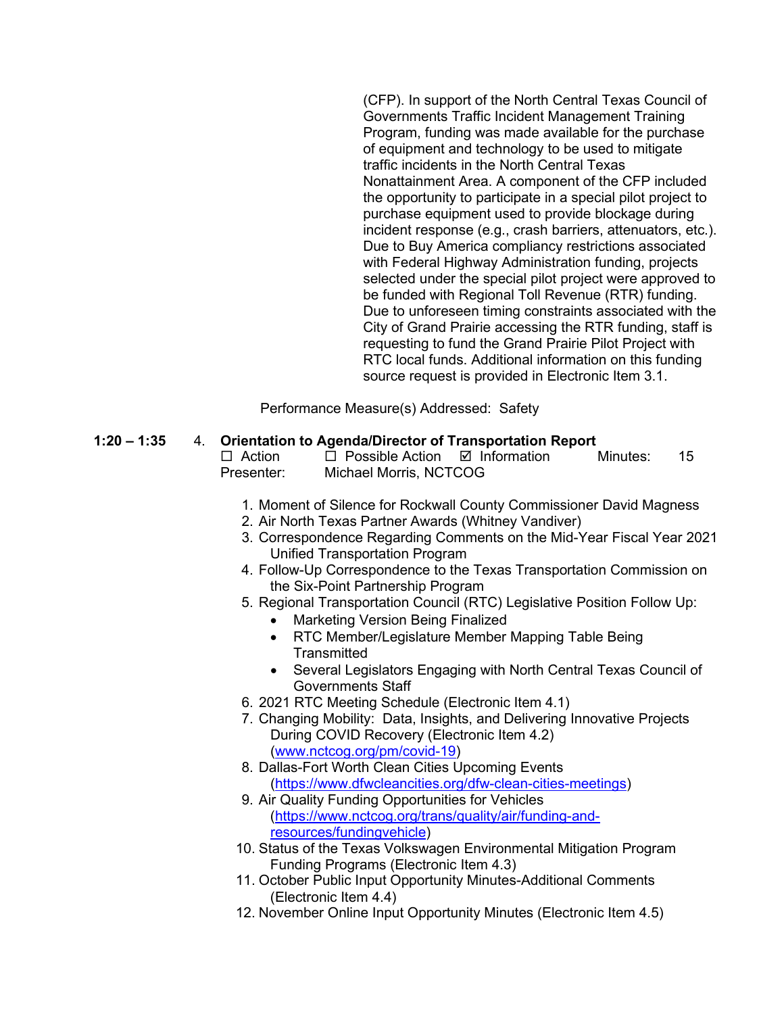(CFP). In support of the North Central Texas Council of Governments Traffic Incident Management Training Program, funding was made available for the purchase of equipment and technology to be used to mitigate traffic incidents in the North Central Texas Nonattainment Area. A component of the CFP included the opportunity to participate in a special pilot project to purchase equipment used to provide blockage during incident response (e.g., crash barriers, attenuators, etc.). Due to Buy America compliancy restrictions associated with Federal Highway Administration funding, projects selected under the special pilot project were approved to be funded with Regional Toll Revenue (RTR) funding. Due to unforeseen timing constraints associated with the City of Grand Prairie accessing the RTR funding, staff is requesting to fund the Grand Prairie Pilot Project with RTC local funds. Additional information on this funding source request is provided in Electronic Item 3.1.

Performance Measure(s) Addressed: Safety

#### **1:20 – 1:35** 4. **Orientation to Agenda/Director of Transportation Report**

 $\Box$  Action  $\Box$  Possible Action  $\Box$  Information Minutes: 15 Presenter: Michael Morris, NCTCOG

- 1. Moment of Silence for Rockwall County Commissioner David Magness
- 2. Air North Texas Partner Awards (Whitney Vandiver)
- 3. Correspondence Regarding Comments on the Mid-Year Fiscal Year 2021 Unified Transportation Program
- 4. Follow-Up Correspondence to the Texas Transportation Commission on the Six-Point Partnership Program
- 5. Regional Transportation Council (RTC) Legislative Position Follow Up:
	- Marketing Version Being Finalized
	- RTC Member/Legislature Member Mapping Table Being **Transmitted**
	- Several Legislators Engaging with North Central Texas Council of Governments Staff
- 6. 2021 RTC Meeting Schedule (Electronic Item 4.1)
- 7. Changing Mobility: Data, Insights, and Delivering Innovative Projects During COVID Recovery (Electronic Item 4.2) [\(www.nctcog.org/pm/covid-19\)](http://www.nctcog.org/pm/covid-19)
- 8. Dallas-Fort Worth Clean Cities Upcoming Events [\(https://www.dfwcleancities.org/dfw-clean-cities-meetings\)](https://www.dfwcleancities.org/dfw-clean-cities-meetings)
- 9. Air Quality Funding Opportunities for Vehicles [\(https://www.nctcog.org/trans/quality/air/funding-and](https://www.nctcog.org/trans/quality/air/funding-and-resources/fundingvehicle)[resources/fundingvehicle\)](https://www.nctcog.org/trans/quality/air/funding-and-resources/fundingvehicle)
- 10. Status of the Texas Volkswagen Environmental Mitigation Program Funding Programs (Electronic Item 4.3)
- 11. October Public Input Opportunity Minutes-Additional Comments (Electronic Item 4.4)
- 12. November Online Input Opportunity Minutes (Electronic Item 4.5)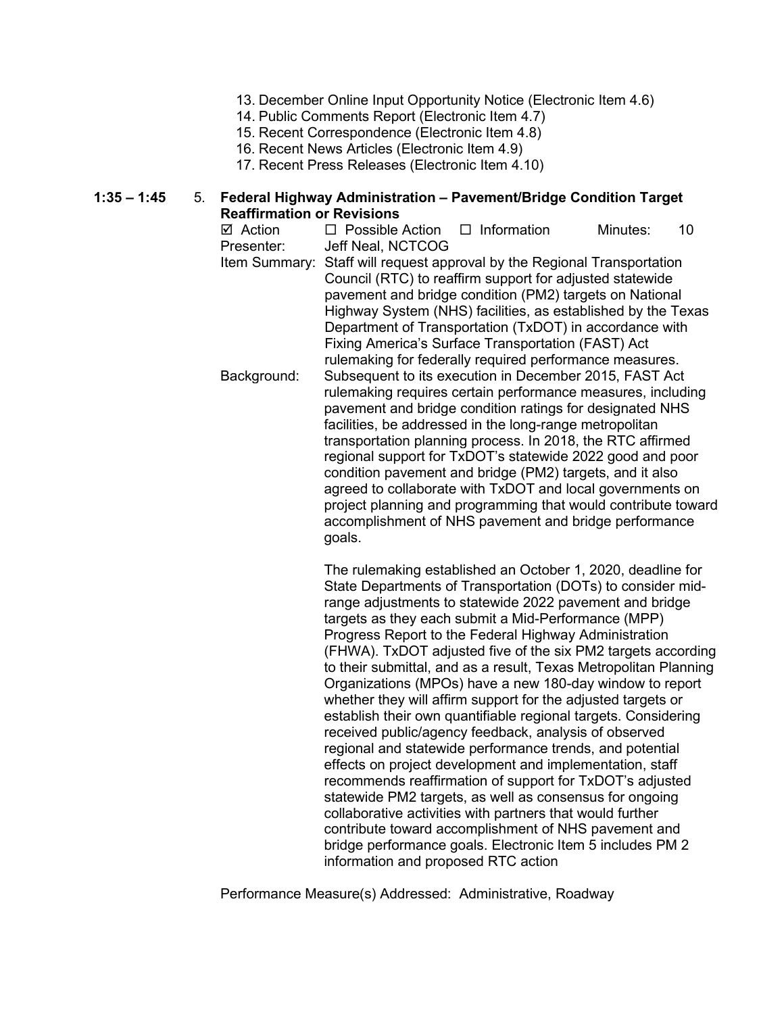- 13. December Online Input Opportunity Notice (Electronic Item 4.6)
- 14. Public Comments Report (Electronic Item 4.7)
- 15. Recent Correspondence (Electronic Item 4.8)
- 16. Recent News Articles (Electronic Item 4.9)
- 17. Recent Press Releases (Electronic Item 4.10)

#### **1:35 – 1:45** 5. **Federal Highway Administration – Pavement/Bridge Condition Target Reaffirmation or Revisions**

 $\boxtimes$  Action  $\Box$  Possible Action  $\Box$  Information Minutes: 10 Presenter: Jeff Neal, NCTCOG Item Summary: Staff will request approval by the Regional Transportation Council (RTC) to reaffirm support for adjusted statewide pavement and bridge condition (PM2) targets on National Highway System (NHS) facilities, as established by the Texas Department of Transportation (TxDOT) in accordance with Fixing America's Surface Transportation (FAST) Act rulemaking for federally required performance measures. Background: Subsequent to its execution in December 2015, FAST Act rulemaking requires certain performance measures, including pavement and bridge condition ratings for designated NHS facilities, be addressed in the long-range metropolitan transportation planning process. In 2018, the RTC affirmed regional support for TxDOT's statewide 2022 good and poor condition pavement and bridge (PM2) targets, and it also agreed to collaborate with TxDOT and local governments on project planning and programming that would contribute toward accomplishment of NHS pavement and bridge performance goals.

> The rulemaking established an October 1, 2020, deadline for State Departments of Transportation (DOTs) to consider midrange adjustments to statewide 2022 pavement and bridge targets as they each submit a Mid-Performance (MPP) Progress Report to the Federal Highway Administration (FHWA). TxDOT adjusted five of the six PM2 targets according to their submittal, and as a result, Texas Metropolitan Planning Organizations (MPOs) have a new 180-day window to report whether they will affirm support for the adjusted targets or establish their own quantifiable regional targets. Considering received public/agency feedback, analysis of observed regional and statewide performance trends, and potential effects on project development and implementation, staff recommends reaffirmation of support for TxDOT's adjusted statewide PM2 targets, as well as consensus for ongoing collaborative activities with partners that would further contribute toward accomplishment of NHS pavement and bridge performance goals. Electronic Item 5 includes PM 2 information and proposed RTC action

Performance Measure(s) Addressed: Administrative, Roadway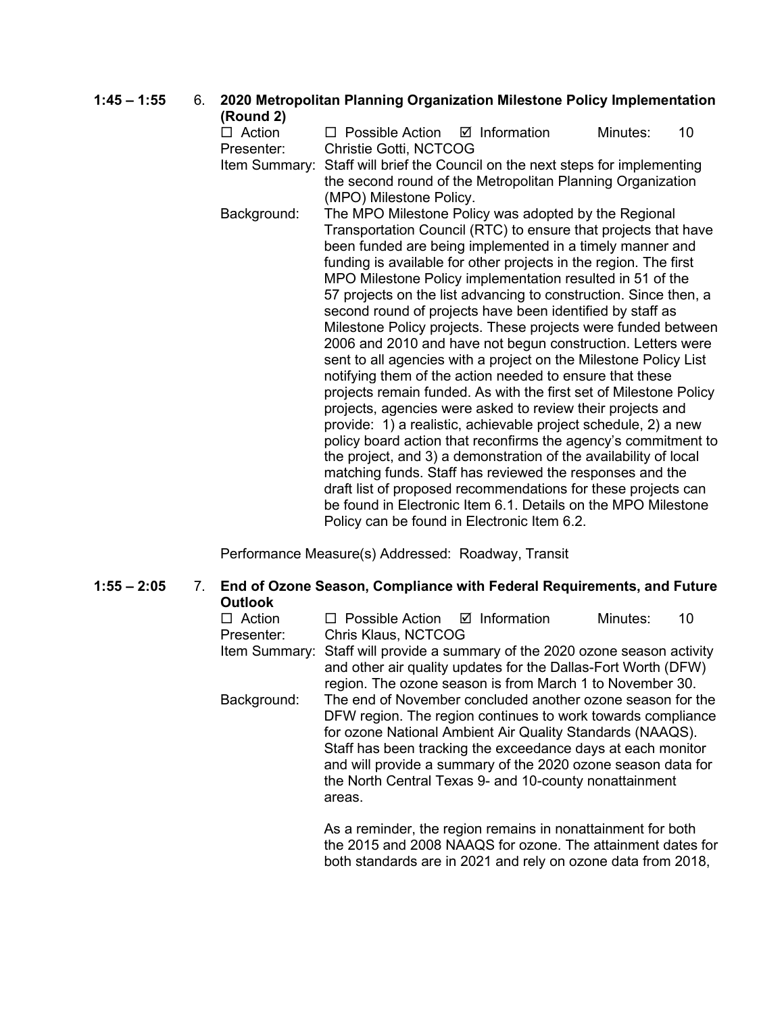# **1:45 – 1:55** 6. **2020 Metropolitan Planning Organization Milestone Policy Implementation (Round 2)**

 $\Box$  Action  $\Box$  Possible Action  $\Box$  Information Minutes: 10 Presenter: Christie Gotti, NCTCOG Item Summary: Staff will brief the Council on the next steps for implementing the second round of the Metropolitan Planning Organization (MPO) Milestone Policy. Background: The MPO Milestone Policy was adopted by the Regional Transportation Council (RTC) to ensure that projects that have been funded are being implemented in a timely manner and funding is available for other projects in the region. The first MPO Milestone Policy implementation resulted in 51 of the 57 projects on the list advancing to construction. Since then, a second round of projects have been identified by staff as Milestone Policy projects. These projects were funded between 2006 and 2010 and have not begun construction. Letters were sent to all agencies with a project on the Milestone Policy List notifying them of the action needed to ensure that these projects remain funded. As with the first set of Milestone Policy projects, agencies were asked to review their projects and provide: 1) a realistic, achievable project schedule, 2) a new policy board action that reconfirms the agency's commitment to the project, and 3) a demonstration of the availability of local matching funds. Staff has reviewed the responses and the draft list of proposed recommendations for these projects can be found in Electronic Item 6.1. Details on the MPO Milestone Policy can be found in Electronic Item 6.2.

Performance Measure(s) Addressed: Roadway, Transit

**1:55 – 2:05** 7. **End of Ozone Season, Compliance with Federal Requirements, and Future Outlook**

|        | Minutes:                                                         | 10                                                                                                                                                                                                                                                                                                                                                                                                                                                                                                                                                                                           |
|--------|------------------------------------------------------------------|----------------------------------------------------------------------------------------------------------------------------------------------------------------------------------------------------------------------------------------------------------------------------------------------------------------------------------------------------------------------------------------------------------------------------------------------------------------------------------------------------------------------------------------------------------------------------------------------|
|        |                                                                  |                                                                                                                                                                                                                                                                                                                                                                                                                                                                                                                                                                                              |
|        |                                                                  |                                                                                                                                                                                                                                                                                                                                                                                                                                                                                                                                                                                              |
|        |                                                                  |                                                                                                                                                                                                                                                                                                                                                                                                                                                                                                                                                                                              |
|        |                                                                  |                                                                                                                                                                                                                                                                                                                                                                                                                                                                                                                                                                                              |
|        |                                                                  |                                                                                                                                                                                                                                                                                                                                                                                                                                                                                                                                                                                              |
|        |                                                                  |                                                                                                                                                                                                                                                                                                                                                                                                                                                                                                                                                                                              |
|        |                                                                  |                                                                                                                                                                                                                                                                                                                                                                                                                                                                                                                                                                                              |
|        |                                                                  |                                                                                                                                                                                                                                                                                                                                                                                                                                                                                                                                                                                              |
|        |                                                                  |                                                                                                                                                                                                                                                                                                                                                                                                                                                                                                                                                                                              |
|        |                                                                  |                                                                                                                                                                                                                                                                                                                                                                                                                                                                                                                                                                                              |
| areas. |                                                                  |                                                                                                                                                                                                                                                                                                                                                                                                                                                                                                                                                                                              |
|        |                                                                  |                                                                                                                                                                                                                                                                                                                                                                                                                                                                                                                                                                                              |
|        | $\Box$ Possible Action $\Box$ Information<br>Chris Klaus, NCTCOG | Item Summary: Staff will provide a summary of the 2020 ozone season activity<br>and other air quality updates for the Dallas-Fort Worth (DFW)<br>region. The ozone season is from March 1 to November 30.<br>The end of November concluded another ozone season for the<br>DFW region. The region continues to work towards compliance<br>for ozone National Ambient Air Quality Standards (NAAQS).<br>Staff has been tracking the exceedance days at each monitor<br>and will provide a summary of the 2020 ozone season data for<br>the North Central Texas 9- and 10-county nonattainment |

As a reminder, the region remains in nonattainment for both the 2015 and 2008 NAAQS for ozone. The attainment dates for both standards are in 2021 and rely on ozone data from 2018,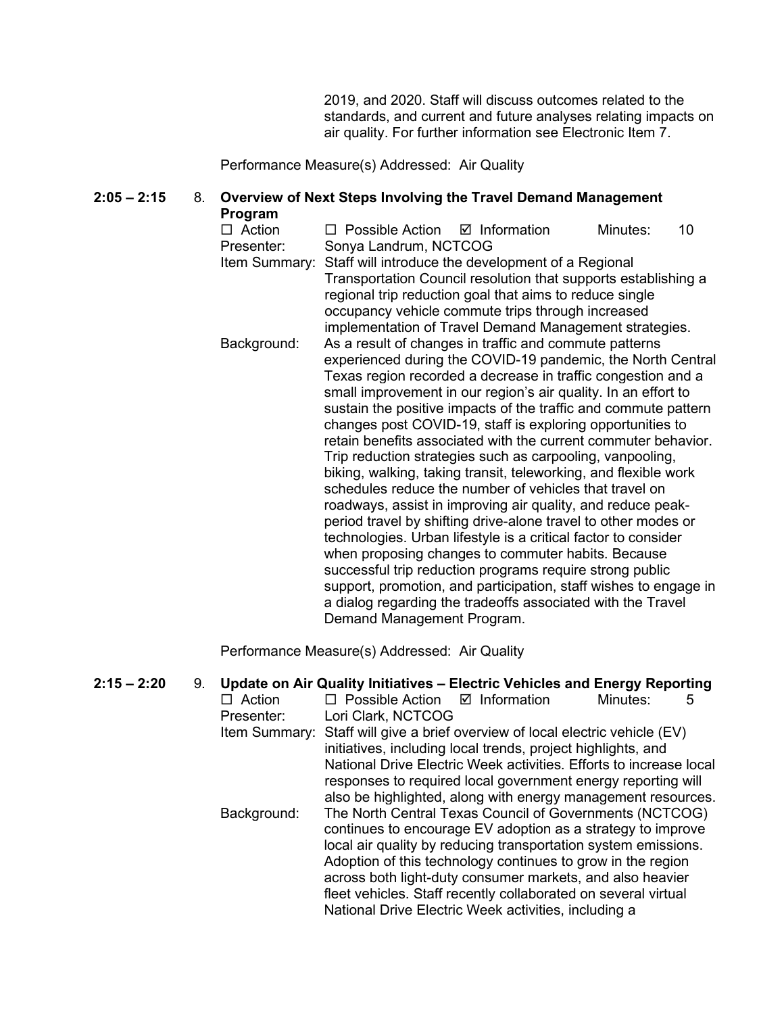2019, and 2020. Staff will discuss outcomes related to the standards, and current and future analyses relating impacts on air quality. For further information see Electronic Item 7.

Performance Measure(s) Addressed: Air Quality

#### **2:05 – 2:15** 8. **Overview of Next Steps Involving the Travel Demand Management Program**

| $\Box$ Action | $\Box$ Possible Action $\Box$ Information                        |  | Minutes: | 10 |
|---------------|------------------------------------------------------------------|--|----------|----|
| Presenter:    | Sonya Landrum, NCTCOG                                            |  |          |    |
| Item Summary: | Staff will introduce the development of a Regional               |  |          |    |
|               | Transportation Council resolution that supports establishing a   |  |          |    |
|               | regional trip reduction goal that aims to reduce single          |  |          |    |
|               | occupancy vehicle commute trips through increased                |  |          |    |
|               | implementation of Travel Demand Management strategies.           |  |          |    |
| Background:   | As a result of changes in traffic and commute patterns           |  |          |    |
|               | experienced during the COVID-19 pandemic, the North Central      |  |          |    |
|               | Texas region recorded a decrease in traffic congestion and a     |  |          |    |
|               | small improvement in our region's air quality. In an effort to   |  |          |    |
|               | sustain the positive impacts of the traffic and commute pattern  |  |          |    |
|               | changes post COVID-19, staff is exploring opportunities to       |  |          |    |
|               | retain benefits associated with the current commuter behavior.   |  |          |    |
|               | Trip reduction strategies such as carpooling, vanpooling,        |  |          |    |
|               | biking, walking, taking transit, teleworking, and flexible work  |  |          |    |
|               | schedules reduce the number of vehicles that travel on           |  |          |    |
|               | roadways, assist in improving air quality, and reduce peak-      |  |          |    |
|               | period travel by shifting drive-alone travel to other modes or   |  |          |    |
|               | technologies. Urban lifestyle is a critical factor to consider   |  |          |    |
|               | when proposing changes to commuter habits. Because               |  |          |    |
|               | successful trip reduction programs require strong public         |  |          |    |
|               | support, promotion, and participation, staff wishes to engage in |  |          |    |
|               | a dialog regarding the tradeoffs associated with the Travel      |  |          |    |
|               | Demand Management Program.                                       |  |          |    |

Performance Measure(s) Addressed: Air Quality

| $2:15 - 2:20$ | 9. |               | Update on Air Quality Initiatives - Electric Vehicles and Energy Reporting                                                                                                                                                                                                                                           |                         |          |   |
|---------------|----|---------------|----------------------------------------------------------------------------------------------------------------------------------------------------------------------------------------------------------------------------------------------------------------------------------------------------------------------|-------------------------|----------|---|
|               |    | $\Box$ Action | $\Box$ Possible Action                                                                                                                                                                                                                                                                                               | $\boxtimes$ Information | Minutes: | 5 |
|               |    | Presenter:    | Lori Clark, NCTCOG                                                                                                                                                                                                                                                                                                   |                         |          |   |
|               |    |               | Item Summary: Staff will give a brief overview of local electric vehicle (EV)                                                                                                                                                                                                                                        |                         |          |   |
|               |    |               | initiatives, including local trends, project highlights, and                                                                                                                                                                                                                                                         |                         |          |   |
|               |    |               | National Drive Electric Week activities. Efforts to increase local<br>responses to required local government energy reporting will                                                                                                                                                                                   |                         |          |   |
|               |    |               | also be highlighted, along with energy management resources.                                                                                                                                                                                                                                                         |                         |          |   |
|               |    | Background:   | The North Central Texas Council of Governments (NCTCOG)<br>continues to encourage EV adoption as a strategy to improve                                                                                                                                                                                               |                         |          |   |
|               |    |               | local air quality by reducing transportation system emissions.<br>Adoption of this technology continues to grow in the region<br>across both light-duty consumer markets, and also heavier<br>fleet vehicles. Staff recently collaborated on several virtual<br>National Drive Electric Week activities, including a |                         |          |   |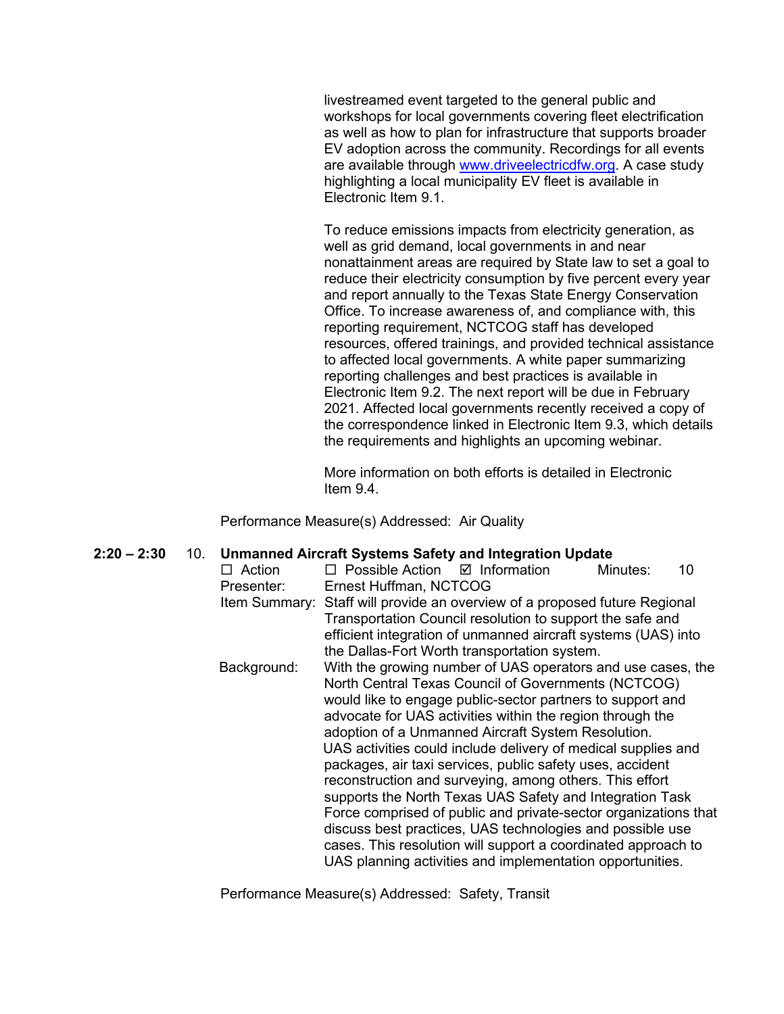livestreamed event targeted to the general public and workshops for local governments covering fleet electrification as well as how to plan for infrastructure that supports broader EV adoption across the community. Recordings for all events are available through [www.driveelectricdfw.org.](http://www.driveelectricdfw.org/) A case study highlighting a local municipality EV fleet is available in Electronic Item 9.1.

To reduce emissions impacts from electricity generation, as well as grid demand, local governments in and near nonattainment areas are required by State law to set a goal to reduce their electricity consumption by five percent every year and report annually to the Texas State Energy Conservation Office. To increase awareness of, and compliance with, this reporting requirement, NCTCOG staff has developed resources, offered trainings, and provided technical assistance to affected local governments. A white paper summarizing reporting challenges and best practices is available in Electronic Item 9.2. The next report will be due in February 2021. Affected local governments recently received a copy of the correspondence linked in Electronic Item 9.3, which details the requirements and highlights an upcoming webinar.

More information on both efforts is detailed in Electronic Item 9.4.

Performance Measure(s) Addressed: Air Quality

| $2:20 - 2:30$ | 10. |               | Unmanned Aircraft Systems Safety and Integration Update                    |  |
|---------------|-----|---------------|----------------------------------------------------------------------------|--|
|               |     | $\Box$ Action | $\Box$ Possible Action $\Box$ Information<br>Minutes:<br>10                |  |
|               |     | Presenter:    | Ernest Huffman, NCTCOG                                                     |  |
|               |     |               | Item Summary: Staff will provide an overview of a proposed future Regional |  |
|               |     |               | Transportation Council resolution to support the safe and                  |  |
|               |     |               | efficient integration of unmanned aircraft systems (UAS) into              |  |
|               |     |               | the Dallas-Fort Worth transportation system.                               |  |
|               |     | Background:   | With the growing number of UAS operators and use cases, the                |  |
|               |     |               | North Central Texas Council of Governments (NCTCOG)                        |  |
|               |     |               | would like to engage public-sector partners to support and                 |  |
|               |     |               | advocate for UAS activities within the region through the                  |  |
|               |     |               | adoption of a Unmanned Aircraft System Resolution.                         |  |
|               |     |               | UAS activities could include delivery of medical supplies and              |  |
|               |     |               | packages, air taxi services, public safety uses, accident                  |  |
|               |     |               | reconstruction and surveying, among others. This effort                    |  |
|               |     |               | supports the North Texas UAS Safety and Integration Task                   |  |
|               |     |               | Force comprised of public and private-sector organizations that            |  |
|               |     |               | discuss best practices, UAS technologies and possible use                  |  |
|               |     |               | cases. This resolution will support a coordinated approach to              |  |
|               |     |               | UAS planning activities and implementation opportunities.                  |  |
|               |     |               |                                                                            |  |

Performance Measure(s) Addressed: Safety, Transit